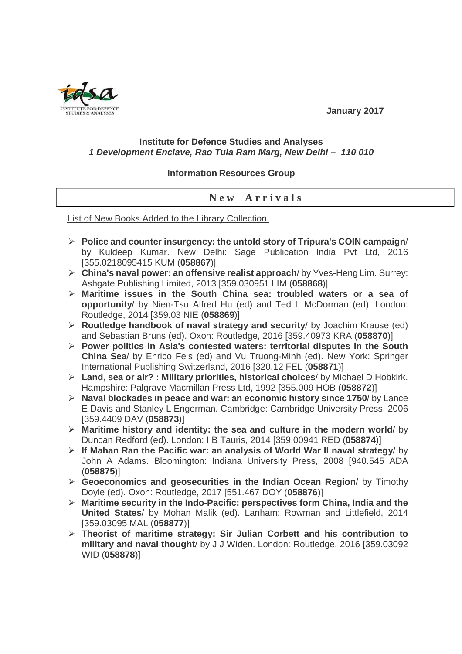**January 2017** 

## **Institute for Defence Studies and Analyses 1 Development Enclave, Rao Tula Ram Marg, New Delhi – 110 010**

## **Information Resources Group**

## **N e w A r r i v a l s**

List of New Books Added to the Library Collection.

- **Police and counter insurgency: the untold story of Tripura's COIN campaign**/ by Kuldeep Kumar. New Delhi: Sage Publication India Pvt Ltd, 2016 [355.0218095415 KUM (**058867**)]
- **China's naval power: an offensive realist approach**/ by Yves-Heng Lim. Surrey: Ashgate Publishing Limited, 2013 [359.030951 LIM (**058868**)]
- **Maritime issues in the South China sea: troubled waters or a sea of opportunity**/ by Nien-Tsu Alfred Hu (ed) and Ted L McDorman (ed). London: Routledge, 2014 [359.03 NIE (**058869**)]
- **Routledge handbook of naval strategy and security**/ by Joachim Krause (ed) and Sebastian Bruns (ed). Oxon: Routledge, 2016 [359.40973 KRA (**058870**)]
- **Power politics in Asia's contested waters: territorial disputes in the South China Sea**/ by Enrico Fels (ed) and Vu Truong-Minh (ed). New York: Springer International Publishing Switzerland, 2016 [320.12 FEL (**058871**)]
- **Land, sea or air? : Military priorities, historical choices**/ by Michael D Hobkirk. Hampshire: Palgrave Macmillan Press Ltd, 1992 [355.009 HOB (**058872**)]
- **Naval blockades in peace and war: an economic history since 1750**/ by Lance E Davis and Stanley L Engerman. Cambridge: Cambridge University Press, 2006 [359.4409 DAV (**058873**)]
- **Maritime history and identity: the sea and culture in the modern world**/ by Duncan Redford (ed). London: I B Tauris, 2014 [359.00941 RED (**058874**)]
- **If Mahan Ran the Pacific war: an analysis of World War II naval strategy**/ by John A Adams. Bloomington: Indiana University Press, 2008 [940.545 ADA (**058875**)]
- **Geoeconomics and geosecurities in the Indian Ocean Region**/ by Timothy Doyle (ed). Oxon: Routledge, 2017 [551.467 DOY (**058876**)]
- **Maritime security in the Indo-Pacific: perspectives form China, India and the United States**/ by Mohan Malik (ed). Lanham: Rowman and Littlefield, 2014 [359.03095 MAL (**058877**)]
- **Theorist of maritime strategy: Sir Julian Corbett and his contribution to military and naval thought**/ by J J Widen. London: Routledge, 2016 [359.03092 WID (**058878**)]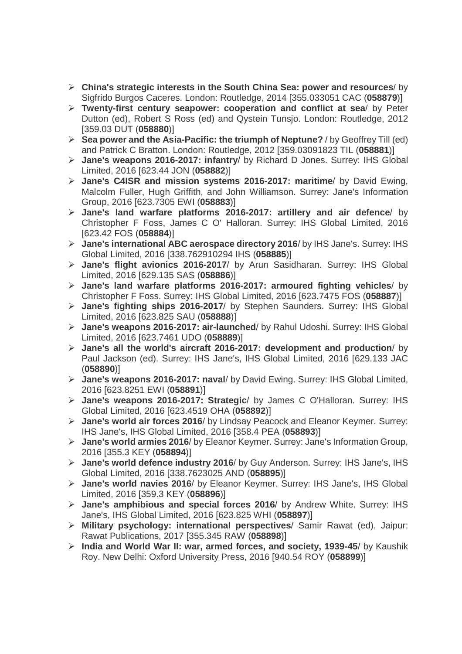- **China's strategic interests in the South China Sea: power and resources**/ by Sigfrido Burgos Caceres. London: Routledge, 2014 [355.033051 CAC (**058879**)]
- **Twenty-first century seapower: cooperation and conflict at sea**/ by Peter Dutton (ed), Robert S Ross (ed) and Qystein Tunsjo. London: Routledge, 2012 [359.03 DUT (**058880**)]
- **Sea power and the Asia-Pacific: the triumph of Neptune?** / by Geoffrey Till (ed) and Patrick C Bratton. London: Routledge, 2012 [359.03091823 TIL (**058881**)]
- **Jane's weapons 2016-2017: infantry**/ by Richard D Jones. Surrey: IHS Global Limited, 2016 [623.44 JON (**058882**)]
- **Jane's C4ISR and mission systems 2016-2017: maritime**/ by David Ewing, Malcolm Fuller, Hugh Griffith, and John Williamson. Surrey: Jane's Information Group, 2016 [623.7305 EWI (**058883**)]
- **Jane's land warfare platforms 2016-2017: artillery and air defence**/ by Christopher F Foss, James C O' Halloran. Surrey: IHS Global Limited, 2016 [623.42 FOS (**058884**)]
- **Jane's international ABC aerospace directory 2016**/ by IHS Jane's. Surrey: IHS Global Limited, 2016 [338.762910294 IHS (**058885**)]
- **Jane's flight avionics 2016-2017**/ by Arun Sasidharan. Surrey: IHS Global Limited, 2016 [629.135 SAS (**058886**)]
- **Jane's land warfare platforms 2016-2017: armoured fighting vehicles**/ by Christopher F Foss. Surrey: IHS Global Limited, 2016 [623.7475 FOS (**058887**)]
- **Jane's fighting ships 2016-2017**/ by Stephen Saunders. Surrey: IHS Global Limited, 2016 [623.825 SAU (**058888**)]
- **Jane's weapons 2016-2017: air-launched**/ by Rahul Udoshi. Surrey: IHS Global Limited, 2016 [623.7461 UDO (**058889**)]
- **Jane's all the world's aircraft 2016-2017: development and production**/ by Paul Jackson (ed). Surrey: IHS Jane's, IHS Global Limited, 2016 [629.133 JAC (**058890**)]
- **Jane's weapons 2016-2017: naval**/ by David Ewing. Surrey: IHS Global Limited, 2016 [623.8251 EWI (**058891**)]
- **Jane's weapons 2016-2017: Strategic**/ by James C O'Halloran. Surrey: IHS Global Limited, 2016 [623.4519 OHA (**058892**)]
- **Jane's world air forces 2016**/ by Lindsay Peacock and Eleanor Keymer. Surrey: IHS Jane's, IHS Global Limited, 2016 [358.4 PEA (**058893**)]
- **Jane's world armies 2016**/ by Eleanor Keymer. Surrey: Jane's Information Group, 2016 [355.3 KEY (**058894**)]
- **Jane's world defence industry 2016**/ by Guy Anderson. Surrey: IHS Jane's, IHS Global Limited, 2016 [338.7623025 AND (**058895**)]
- **Jane's world navies 2016**/ by Eleanor Keymer. Surrey: IHS Jane's, IHS Global Limited, 2016 [359.3 KEY (**058896**)]
- **Jane's amphibious and special forces 2016**/ by Andrew White. Surrey: IHS Jane's, IHS Global Limited, 2016 [623.825 WHI (**058897**)]
- **Military psychology: international perspectives**/ Samir Rawat (ed). Jaipur: Rawat Publications, 2017 [355.345 RAW (**058898**)]
- **India and World War II: war, armed forces, and society, 1939-45**/ by Kaushik Roy. New Delhi: Oxford University Press, 2016 [940.54 ROY (**058899**)]